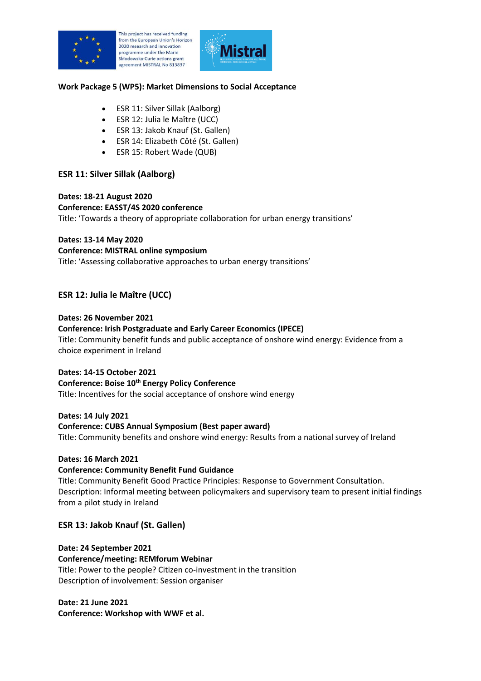

his project has received funding from the European Union's Horizon 2020 research and innovation programme under the Marie Skłodowska-Curie actions grant agreement MISTRAL No 813837



#### **Work Package 5 (WP5): Market Dimensions to Social Acceptance**

- ESR 11: Silver Sillak (Aalborg)
- ESR 12: Julia le Maître (UCC)
- ESR 13: Jakob Knauf (St. Gallen)
- ESR 14: Elizabeth Côté (St. Gallen)
- ESR 15: Robert Wade (QUB)

# **ESR 11: Silver Sillak (Aalborg)**

**Dates: 18-21 August 2020 Conference: EASST/4S 2020 conference** Title: 'Towards a theory of appropriate collaboration for urban energy transitions'

**Dates: 13-14 May 2020 Conference: MISTRAL online symposium** Title: 'Assessing collaborative approaches to urban energy transitions'

# **ESR 12: Julia le Maître (UCC)**

#### **Dates: 26 November 2021**

#### **Conference: Irish Postgraduate and Early Career Economics (IPECE)**

Title: Community benefit funds and public acceptance of onshore wind energy: Evidence from a choice experiment in Ireland

#### **Dates: 14-15 October 2021**

**Conference: Boise 10th Energy Policy Conference** Title: Incentives for the social acceptance of onshore wind energy

#### **Dates: 14 July 2021**

#### **Conference: CUBS Annual Symposium (Best paper award)**

Title: Community benefits and onshore wind energy: Results from a national survey of Ireland

#### **Dates: 16 March 2021**

#### **Conference: Community Benefit Fund Guidance**

Title: Community Benefit Good Practice Principles: Response to Government Consultation. Description: Informal meeting between policymakers and supervisory team to present initial findings from a pilot study in Ireland

#### **ESR 13: Jakob Knauf (St. Gallen)**

#### **Date: 24 September 2021**

# **Conference/meeting: REMforum Webinar**

Title: Power to the people? Citizen co-investment in the transition Description of involvement: Session organiser

# **Date: 21 June 2021**

**Conference: Workshop with WWF et al.**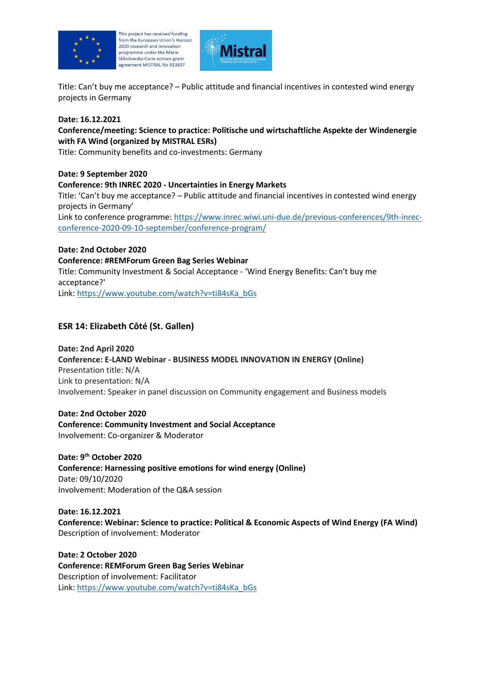

This project has received funding from the European Union's Horizon 2020 research and innovation programme under the Marie Skłodowska-Curie actions grant agreement MISTRAL No 813837



Title: Can't buy me acceptance? – Public attitude and financial incentives in contested wind energy projects in Germany

### **Date: 16.12.2021**

## **Conference/meeting: Science to practice: Politische und wirtschaftliche Aspekte der Windenergie with FA Wind (organized by MISTRAL ESRs)**

Title: Community benefits and co-investments: Germany

#### **Date: 9 September 2020**

## **Conference: 9th INREC 2020 - Uncertainties in Energy Markets**

Title: 'Can't buy me acceptance? – Public attitude and financial incentives in contested wind energy projects in Germany'

Link to conference programme: [https://www.inrec.wiwi.uni-due.de/previous-conferences/9th-inrec](https://www.inrec.wiwi.uni-due.de/previous-conferences/9th-inrec-conference-2020-09-10-september/conference-program/)[conference-2020-09-10-september/conference-program/](https://www.inrec.wiwi.uni-due.de/previous-conferences/9th-inrec-conference-2020-09-10-september/conference-program/)

## **Date: 2nd October 2020**

## **Conference: #REMForum Green Bag Series Webinar**

Title: Community Investment & Social Acceptance - 'Wind Energy Benefits: Can't buy me acceptance?'

Link: [https://www.youtube.com/watch?v=ti84sKa\\_bGs](https://www.youtube.com/watch?v=ti84sKa_bGs)

# **ESR 14: Elizabeth Côté (St. Gallen)**

**Date: 2nd April 2020 Conference: E-LAND Webinar - BUSINESS MODEL INNOVATION IN ENERGY (Online)** Presentation title: N/A Link to presentation: N/A Involvement: Speaker in panel discussion on Community engagement and Business models

**Date: 2nd October 2020 Conference: Community Investment and Social Acceptance** Involvement: Co-organizer & Moderator

**Date: 9th October 2020 Conference: Harnessing positive emotions for wind energy (Online)** Date: 09/10/2020 Involvement: Moderation of the Q&A session

**Date: 16.12.2021 Conference: Webinar: Science to practice: Political & Economic Aspects of Wind Energy (FA Wind)** Description of involvement: Moderator

**Date: 2 October 2020 Conference: REMForum Green Bag Series Webinar** Description of involvement: Facilitator Link: [https://www.youtube.com/watch?v=ti84sKa\\_bGs](https://www.youtube.com/watch?v=ti84sKa_bGs)